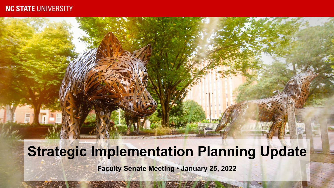### **NC STATE UNIVERSITY**

# **Strategic Implementation Planning Update**

**Faculty Senate Meeting • January 25, 2022**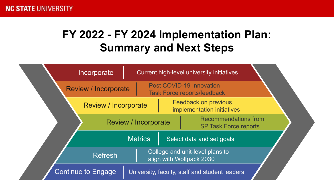# **FY 2022 - FY 2024 Implementation Plan: Summary and Next Steps**

|                                                                               | Incorporate                 |                             |                                                    | Current high-level university initiatives                      |  |
|-------------------------------------------------------------------------------|-----------------------------|-----------------------------|----------------------------------------------------|----------------------------------------------------------------|--|
|                                                                               | <b>Review / Incorporate</b> |                             |                                                    | Post COVID-19 Innovation<br><b>Task Force reports/feedback</b> |  |
|                                                                               | <b>Review / Incorporate</b> |                             | Feedback on previous<br>implementation initiatives |                                                                |  |
|                                                                               |                             | <b>Review / Incorporate</b> |                                                    | <b>Recommendations from</b><br><b>SP Task Force reports</b>    |  |
|                                                                               |                             | <b>Metrics</b>              |                                                    | Select data and set goals                                      |  |
| College and unit-level plans to<br><b>Refresh</b><br>align with Wolfpack 2030 |                             |                             |                                                    |                                                                |  |
|                                                                               | <b>Continue to Engage</b>   |                             |                                                    | University, faculty, staff and student leaders                 |  |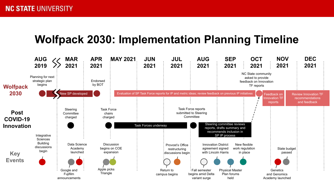## **Wolfpack 2030: Implementation Planning Timeline**